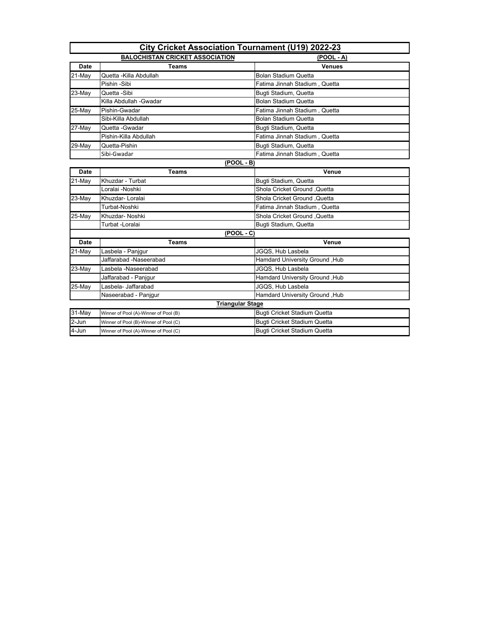| <b>City Cricket Association Tournament (U19) 2022-23</b> |                                       |                                     |
|----------------------------------------------------------|---------------------------------------|-------------------------------------|
| <b>BALOCHISTAN CRICKET ASSOCIATION</b><br>$(POOL - A)$   |                                       |                                     |
| Date                                                     | <b>Teams</b>                          | <b>Venues</b>                       |
| 21-May                                                   | Quetta - Killa Abdullah               | <b>Bolan Stadium Quetta</b>         |
|                                                          | Pishin -Sibi                          | Fatima Jinnah Stadium, Quetta       |
| 23-May                                                   | Quetta -Sibi                          | Bugti Stadium, Quetta               |
|                                                          | Killa Abdullah -Gwadar                | <b>Bolan Stadium Quetta</b>         |
| 25-May                                                   | Pishin-Gwadar                         | Fatima Jinnah Stadium, Quetta       |
|                                                          | Sibi-Killa Abdullah                   | <b>Bolan Stadium Quetta</b>         |
| 27-May                                                   | Quetta - Gwadar                       | Bugti Stadium, Quetta               |
|                                                          | Pishin-Killa Abdullah                 | Fatima Jinnah Stadium, Quetta       |
| 29-May                                                   | Quetta-Pishin                         | Bugti Stadium, Quetta               |
|                                                          | Sibi-Gwadar                           | Fatima Jinnah Stadium, Quetta       |
|                                                          | $(POOL - B)$                          |                                     |
| Date                                                     | <b>Teams</b>                          | Venue                               |
| 21-May                                                   | Khuzdar - Turbat                      | Bugti Stadium, Quetta               |
|                                                          | Loralai -Noshki                       | Shola Cricket Ground , Quetta       |
| 23-May                                                   | Khuzdar- Loralai                      | Shola Cricket Ground ,Quetta        |
|                                                          | Turbat-Noshki                         | Fatima Jinnah Stadium, Quetta       |
| 25-May                                                   | Khuzdar- Noshki                       | Shola Cricket Ground .Quetta        |
|                                                          | Turbat -Loralai                       | Bugti Stadium, Quetta               |
|                                                          | $(POOL - C)$                          |                                     |
| <b>Date</b>                                              | <b>Teams</b>                          | Venue                               |
| 21-May                                                   | Lasbela - Panjgur                     | JGQS, Hub Lasbela                   |
|                                                          | Jaffarabad -Naseerabad                | Hamdard University Ground, Hub      |
| 23-May                                                   | Lasbela -Naseerabad                   | JGQS, Hub Lasbela                   |
|                                                          | Jaffarabad - Panjgur                  | Hamdard University Ground, Hub      |
| 25-May                                                   | Lasbela- Jaffarabad                   | JGQS. Hub Lasbela                   |
|                                                          | Naseerabad - Panjgur                  | Hamdard University Ground, Hub      |
|                                                          | <b>Triangular Stage</b>               |                                     |
| 31-May                                                   | Winner of Pool (A)-Winner of Pool (B) | Bugti Cricket Stadium Quetta        |
| $2-Jun$                                                  | Winner of Pool (B)-Winner of Pool (C) | Bugti Cricket Stadium Quetta        |
| 4-Jun                                                    | Winner of Pool (A)-Winner of Pool (C) | <b>Bugti Cricket Stadium Quetta</b> |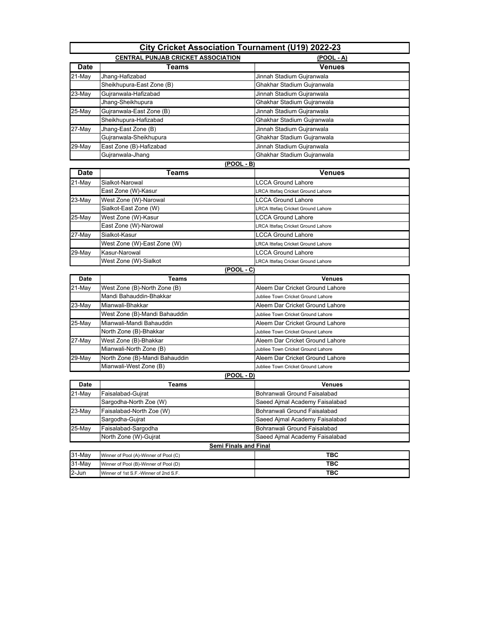| <b>City Cricket Association Tournament (U19) 2022-23</b> |                                           |                                           |
|----------------------------------------------------------|-------------------------------------------|-------------------------------------------|
|                                                          | <b>CENTRAL PUNJAB CRICKET ASSOCIATION</b> | <u>(POOL - A)</u>                         |
| <b>Date</b>                                              | Teams                                     | Venues                                    |
| 21-May                                                   | Jhang-Hafizabad                           | Jinnah Stadium Gujranwala                 |
|                                                          | Sheikhupura-East Zone (B)                 | Ghakhar Stadium Gujranwala                |
| 23-May                                                   | Gujranwala-Hafizabad                      | Jinnah Stadium Gujranwala                 |
|                                                          | Jhang-Sheikhupura                         | Ghakhar Stadium Gujranwala                |
| 25-May                                                   | Gujranwala-East Zone (B)                  | Jinnah Stadium Gujranwala                 |
|                                                          | Sheikhupura-Hafizabad                     | Ghakhar Stadium Gujranwala                |
| 27-May                                                   | Jhang-East Zone (B)                       | Jinnah Stadium Gujranwala                 |
|                                                          | Gujranwala-Sheikhupura                    | Ghakhar Stadium Gujranwala                |
| 29-May                                                   | East Zone (B)-Hafizabad                   | Jinnah Stadium Gujranwala                 |
|                                                          | Gujranwala-Jhang                          | Ghakhar Stadium Gujranwala                |
|                                                          | <u>(POOL - B)</u>                         |                                           |
| <b>Date</b>                                              | <b>Teams</b>                              | <b>Venues</b>                             |
| $21-May$                                                 | Sialkot-Narowal                           | LCCA Ground Lahore                        |
|                                                          | East Zone (W)-Kasur                       | LRCA Ittefaq Cricket Ground Lahore        |
| 23-May                                                   | West Zone (W)-Narowal                     | LCCA Ground Lahore                        |
|                                                          | Sialkot-East Zone (W)                     | LRCA Ittefaq Cricket Ground Lahore        |
| 25-May                                                   | West Zone (W)-Kasur                       | <b>LCCA Ground Lahore</b>                 |
|                                                          | East Zone (W)-Narowal                     | <b>LRCA Ittefaq Cricket Ground Lahore</b> |
| 27-May                                                   | Sialkot-Kasur                             | LCCA Ground Lahore                        |
|                                                          | West Zone (W)-East Zone (W)               | LRCA Ittefaq Cricket Ground Lahore        |
| 29-May                                                   | Kasur-Narowal                             | LCCA Ground Lahore                        |
|                                                          | West Zone (W)-Sialkot                     | LRCA Ittefaq Cricket Ground Lahore        |
|                                                          | <u>(POOL - C)</u>                         |                                           |
| <b>Date</b>                                              | Teams                                     | <b>Venues</b>                             |
| 21-May                                                   | West Zone (B)-North Zone (B)              | Aleem Dar Cricket Ground Lahore           |
|                                                          | Mandi Bahauddin-Bhakkar                   | Jubliee Town Cricket Ground Lahore        |
| 23-May                                                   | Mianwali-Bhakkar                          | Aleem Dar Cricket Ground Lahore           |
|                                                          | West Zone (B)-Mandi Bahauddin             | Jubliee Town Cricket Ground Lahore        |
| 25-May                                                   | Mianwali-Mandi Bahauddin                  | Aleem Dar Cricket Ground Lahore           |
|                                                          | North Zone (B)-Bhakkar                    | Jubliee Town Cricket Ground Lahore        |
| 27-May                                                   | West Zone (B)-Bhakkar                     | Aleem Dar Cricket Ground Lahore           |
|                                                          | Mianwali-North Zone (B)                   | Jubliee Town Cricket Ground Lahore        |
| 29-May                                                   | North Zone (B)-Mandi Bahauddin            | Aleem Dar Cricket Ground Lahore           |
|                                                          | Mianwali-West Zone (B)                    | Jubliee Town Cricket Ground Lahore        |
|                                                          | <u>(POOL - D)</u>                         |                                           |
| Date                                                     | <b>Teams</b>                              | <b>Venues</b>                             |
| 21-May                                                   | Faisalabad-Gujrat                         | Bohranwali Ground Faisalabad              |
|                                                          | Sargodha-North Zoe (W)                    | Saeed Ajmal Academy Faisalabad            |
| 23-May                                                   | Faisalabad-North Zoe (W)                  | Bohranwali Ground Faisalabad              |
|                                                          | Sargodha-Gujrat                           | Saeed Ajmal Academy Faisalabad            |
| 25-May                                                   | Faisalabad-Sargodha                       | Bohranwali Ground Faisalabad              |
|                                                          | North Zone (W)-Gujrat                     | Saeed Ajmal Academy Faisalabad            |
|                                                          | <b>Semi Finals and Final</b>              |                                           |
| 31-May                                                   | Winner of Pool (A)-Winner of Pool (C)     | TBC                                       |
| 31-May                                                   | Winner of Pool (B)-Winner of Pool (D)     | твс                                       |
| 2-Jun                                                    | Winner of 1st S.F.-Winner of 2nd S.F.     | твс                                       |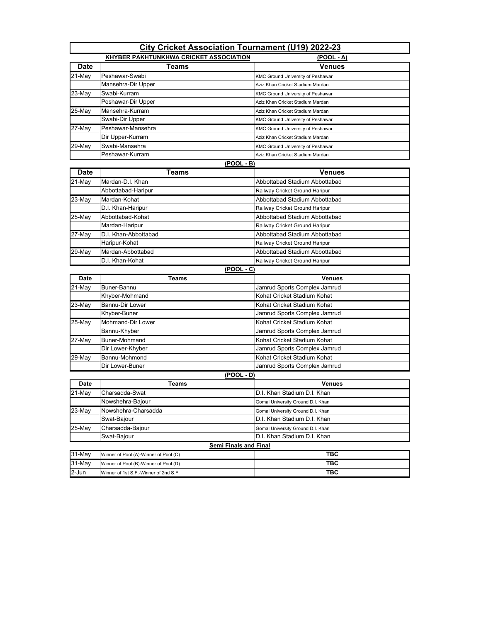| <b>City Cricket Association Tournament (U19) 2022-23</b> |                                               |                                          |
|----------------------------------------------------------|-----------------------------------------------|------------------------------------------|
|                                                          |                                               |                                          |
|                                                          | <b>KHYBER PAKHTUNKHWA CRICKET ASSOCIATION</b> | $(POOL - A)$                             |
| <b>Date</b>                                              | Teams                                         | Venues                                   |
| 21-May                                                   | Peshawar-Swabi                                | KMC Ground University of Peshawar        |
|                                                          | Mansehra-Dir Upper                            | Aziz Khan Cricket Stadium Mardan         |
| 23-May                                                   | Swabi-Kurram                                  | <b>KMC Ground University of Peshawar</b> |
|                                                          | Peshawar-Dir Upper                            | Aziz Khan Cricket Stadium Mardan         |
| $25$ -May                                                | Mansehra-Kurram                               | Aziz Khan Cricket Stadium Mardan         |
|                                                          | Swabi-Dir Upper                               | KMC Ground University of Peshawar        |
| 27-May                                                   | Peshawar-Mansehra                             | KMC Ground University of Peshawar        |
|                                                          | Dir Upper-Kurram                              | Aziz Khan Cricket Stadium Mardan         |
| 29-May                                                   | Swabi-Mansehra                                | <b>KMC Ground University of Peshawar</b> |
|                                                          | Peshawar-Kurram                               | Aziz Khan Cricket Stadium Mardan         |
|                                                          | (POOL - B)                                    |                                          |
| <b>Date</b>                                              | <b>Teams</b>                                  | Venues                                   |
| 21-May                                                   | Mardan-D.I. Khan                              | Abbottabad Stadium Abbottabad            |
|                                                          | Abbottabad-Haripur                            | Railway Cricket Ground Haripur           |
| 23-May                                                   | Mardan-Kohat                                  | Abbottabad Stadium Abbottabad            |
|                                                          | D.I. Khan-Haripur                             | Railway Cricket Ground Haripur           |
| 25-May                                                   | Abbottabad-Kohat                              | Abbottabad Stadium Abbottabad            |
|                                                          | Mardan-Haripur                                | Railway Cricket Ground Haripur           |
| 27-May                                                   | D.I. Khan-Abbottabad                          | Abbottabad Stadium Abbottabad            |
|                                                          | Haripur-Kohat                                 | Railway Cricket Ground Haripur           |
| 29-May                                                   | Mardan-Abbottabad                             | Abbottabad Stadium Abbottabad            |
|                                                          | D.I. Khan-Kohat                               | Railway Cricket Ground Haripur           |
|                                                          | $(POOL - C)$                                  |                                          |
| Date                                                     | <b>Teams</b>                                  | <b>Venues</b>                            |
| 21-May                                                   | Buner-Bannu                                   | Jamrud Sports Complex Jamrud             |
|                                                          | Khyber-Mohmand                                | Kohat Cricket Stadium Kohat              |
| 23-May                                                   | Bannu-Dir Lower                               | Kohat Cricket Stadium Kohat              |
|                                                          | Khyber-Buner                                  | Jamrud Sports Complex Jamrud             |
| 25-May                                                   | Mohmand-Dir Lower                             | Kohat Cricket Stadium Kohat              |
|                                                          | Bannu-Khyber                                  | Jamrud Sports Complex Jamrud             |
| 27-May                                                   | Buner-Mohmand                                 | Kohat Cricket Stadium Kohat              |
|                                                          | Dir Lower-Khyber                              | Jamrud Sports Complex Jamrud             |
| 29-May                                                   | Bannu-Mohmond                                 | Kohat Cricket Stadium Kohat              |
|                                                          | Dir Lower-Buner                               | Jamrud Sports Complex Jamrud             |
|                                                          | <u>(POOL - D)</u>                             |                                          |
| <b>Date</b>                                              | Teams                                         | <b>Venues</b>                            |
| 21-May                                                   | Charsadda-Swat                                | D.I. Khan Stadium D.I. Khan              |
|                                                          | Nowshehra-Bajour                              | Gomal University Ground D.I. Khan        |
| 23-May                                                   | Nowshehra-Charsadda                           | Gomal University Ground D.I. Khan        |
|                                                          | Swat-Bajour                                   | D.I. Khan Stadium D.I. Khan              |
| 25-May                                                   | Charsadda-Bajour                              | Gomal University Ground D.I. Khan        |
|                                                          | Swat-Bajour                                   | D.I. Khan Stadium D.I. Khan              |
| <b>Semi Finals and Final</b>                             |                                               |                                          |
| 31-May                                                   | Winner of Pool (A)-Winner of Pool (C)         | TBC                                      |
| 31-May                                                   | Winner of Pool (B)-Winner of Pool (D)         | TBC                                      |
| 2-Jun                                                    | Winner of 1st S.F.-Winner of 2nd S.F.         | TBC                                      |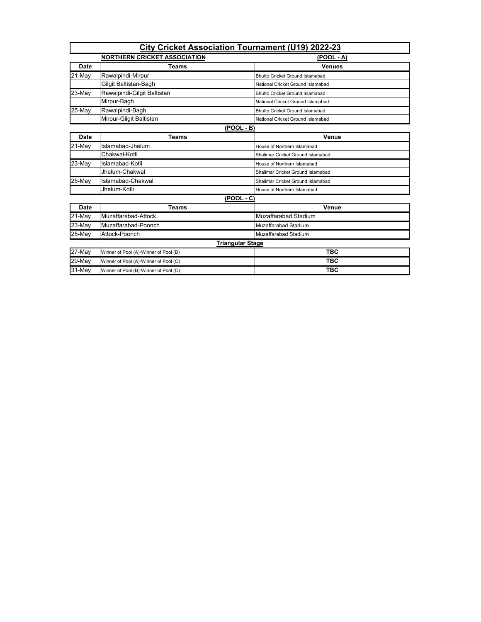| <b>City Cricket Association Tournament (U19) 2022-23</b> |                                                   |                                        |  |  |
|----------------------------------------------------------|---------------------------------------------------|----------------------------------------|--|--|
|                                                          | <b>NORTHERN CRICKET ASSOCIATION</b><br>(POOL - A) |                                        |  |  |
| <b>Date</b>                                              | <b>Teams</b>                                      | <b>Venues</b>                          |  |  |
| $21-May$                                                 | Rawalpindi-Mirpur                                 | <b>Bhutto Cricket Ground Islamabad</b> |  |  |
|                                                          | Gilgit Baltistan-Bagh                             | National Cricket Ground Islamabad      |  |  |
| 23-May                                                   | Rawalpindi-Gilgit Baltistan                       | <b>Bhutto Cricket Ground Islamabad</b> |  |  |
|                                                          | Mirpur-Bagh                                       | National Cricket Ground Islamabad      |  |  |
| 25-May                                                   | Rawalpindi-Bagh                                   | <b>Bhutto Cricket Ground Islamabad</b> |  |  |
|                                                          | Mirpur-Gilgit Baltistan                           | National Cricket Ground Islamabad      |  |  |
| $(POOL - B)$                                             |                                                   |                                        |  |  |
| Date                                                     | <b>Teams</b>                                      | Venue                                  |  |  |
| $21-May$                                                 | Islamabad-Jhelum                                  | House of Northern Islamabad            |  |  |
|                                                          | Chakwal-Kotli                                     | Shalimar Cricket Ground Islamabad      |  |  |
| 23-May                                                   | Islamabad-Kotli                                   | House of Northern Islamabad            |  |  |
|                                                          | Jhelum-Chakwal                                    | Shalimar Cricket Ground Islamabad      |  |  |
| 25-May                                                   | Islamabad-Chakwal                                 | Shalimar Cricket Ground Islamabad      |  |  |
|                                                          | Jhelum-Kotli                                      | House of Northern Islamabad            |  |  |
|                                                          | $(POOL - C)$                                      |                                        |  |  |
| Date                                                     | <b>Teams</b>                                      | Venue                                  |  |  |
| 21-May                                                   | Muzaffarabad-Attock                               | Muzaffarabad Stadium                   |  |  |
| $23$ -May                                                | Muzaffarabad-Poonch                               | Muzaffarabad Stadium                   |  |  |
| 25-May                                                   | Attock-Poonch                                     | Muzaffarabad Stadium                   |  |  |
|                                                          | <b>Triangular Stage</b>                           |                                        |  |  |
| $27$ -May                                                | Winner of Pool (A)-Winner of Pool (B)             | <b>TBC</b>                             |  |  |
| 29-May                                                   | Winner of Pool (A)-Winner of Pool (C)             | <b>TBC</b>                             |  |  |
| 31-May                                                   | Winner of Pool (B)-Winner of Pool (C)             | <b>TBC</b>                             |  |  |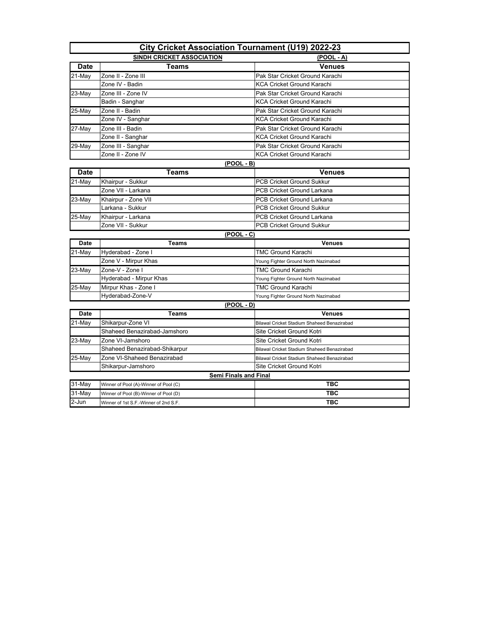| <b>City Cricket Association Tournament (U19) 2022-23</b> |                                       |                                             |
|----------------------------------------------------------|---------------------------------------|---------------------------------------------|
| <b>SINDH CRICKET ASSOCIATION</b>                         |                                       | $(POOL - A)$                                |
| <b>Date</b>                                              | <b>Teams</b>                          | <b>Venues</b>                               |
| 21-May                                                   | Zone II - Zone III                    | Pak Star Cricket Ground Karachi             |
|                                                          | Zone IV - Badin                       | <b>KCA Cricket Ground Karachi</b>           |
| 23-May                                                   | Zone III - Zone IV                    | Pak Star Cricket Ground Karachi             |
|                                                          | Badin - Sanghar                       | <b>KCA Cricket Ground Karachi</b>           |
| 25-May                                                   | Zone II - Badin                       | Pak Star Cricket Ground Karachi             |
|                                                          | Zone IV - Sanghar                     | <b>KCA Cricket Ground Karachi</b>           |
| 27-May                                                   | Zone III - Badin                      | Pak Star Cricket Ground Karachi             |
|                                                          | Zone II - Sanghar                     | <b>KCA Cricket Ground Karachi</b>           |
| 29-May                                                   | Zone III - Sanghar                    | Pak Star Cricket Ground Karachi             |
|                                                          | Zone II - Zone IV                     | <b>KCA Cricket Ground Karachi</b>           |
|                                                          | (POOL - B)                            |                                             |
| Date                                                     | Teams                                 | <b>Venues</b>                               |
| $21-May$                                                 | Khairpur - Sukkur                     | <b>PCB Cricket Ground Sukkur</b>            |
|                                                          | Zone VII - Larkana                    | <b>PCB Cricket Ground Larkana</b>           |
| 23-May                                                   | Khairpur - Zone VII                   | <b>PCB Cricket Ground Larkana</b>           |
|                                                          | Larkana - Sukkur                      | <b>PCB Cricket Ground Sukkur</b>            |
| 25-May                                                   | Khairpur - Larkana                    | <b>PCB Cricket Ground Larkana</b>           |
|                                                          | Zone VII - Sukkur                     | <b>PCB Cricket Ground Sukkur</b>            |
|                                                          | (POOL - C)                            |                                             |
| Date                                                     | <b>Teams</b>                          | <b>Venues</b>                               |
| 21-May                                                   | Hyderabad - Zone I                    | <b>TMC Ground Karachi</b>                   |
|                                                          | Zone V - Mirpur Khas                  | Young Fighter Ground North Nazimabad        |
| 23-May                                                   | Zone-V - Zone I                       | <b>TMC Ground Karachi</b>                   |
|                                                          | Hyderabad - Mirpur Khas               | Young Fighter Ground North Nazimabad        |
| $25$ -May                                                | Mirpur Khas - Zone I                  | <b>TMC Ground Karachi</b>                   |
|                                                          | Hyderabad-Zone-V                      | Young Fighter Ground North Nazimabad        |
|                                                          | (POOL - D)                            |                                             |
| Date                                                     | <b>Teams</b>                          | <b>Venues</b>                               |
| 21-May                                                   | Shikarpur-Zone VI                     | Bilawal Cricket Stadium Shaheed Benazirabad |
|                                                          | Shaheed Benazirabad-Jamshoro          | Site Cricket Ground Kotri                   |
| 23-May                                                   | Zone VI-Jamshoro                      | Site Cricket Ground Kotri                   |
|                                                          | Shaheed Benazirabad-Shikarpur         | Bilawal Cricket Stadium Shaheed Benazirabad |
| 25-May                                                   | Zone VI-Shaheed Benazirabad           | Bilawal Cricket Stadium Shaheed Benazirabad |
|                                                          | Shikarpur-Jamshoro                    | Site Cricket Ground Kotri                   |
|                                                          | <b>Semi Finals and Final</b>          |                                             |
| 31-May                                                   | Winner of Pool (A)-Winner of Pool (C) | TBC                                         |
| 31-May                                                   | Winner of Pool (B)-Winner of Pool (D) | TBC                                         |
| 2-Jun                                                    | Winner of 1st S.F.-Winner of 2nd S.F. | <b>TBC</b>                                  |